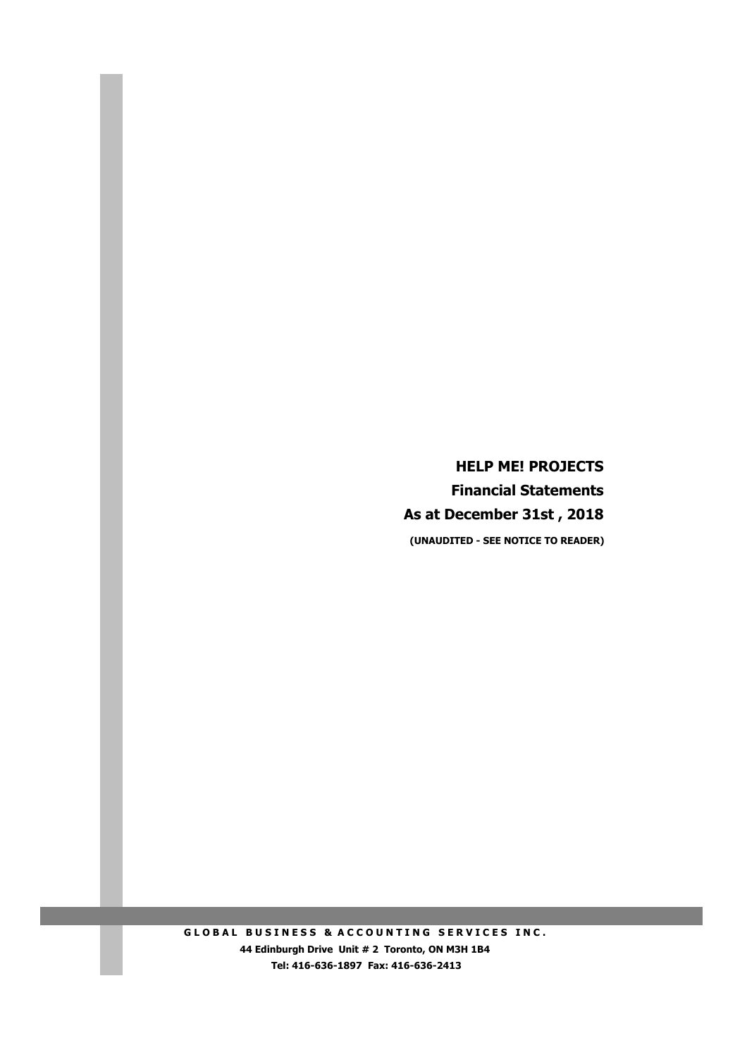**HELP ME! PROJECTS Financial Statements As at December 31st , 2018 (UNAUDITED - SEE NOTICE TO READER)**

**GLOBAL BUSINESS & ACCOUNTING SERVICES INC. 44 Edinburgh Drive Unit # 2 Toronto, ON M3H 1B4 Tel: 416-636-1897 Fax: 416-636-2413**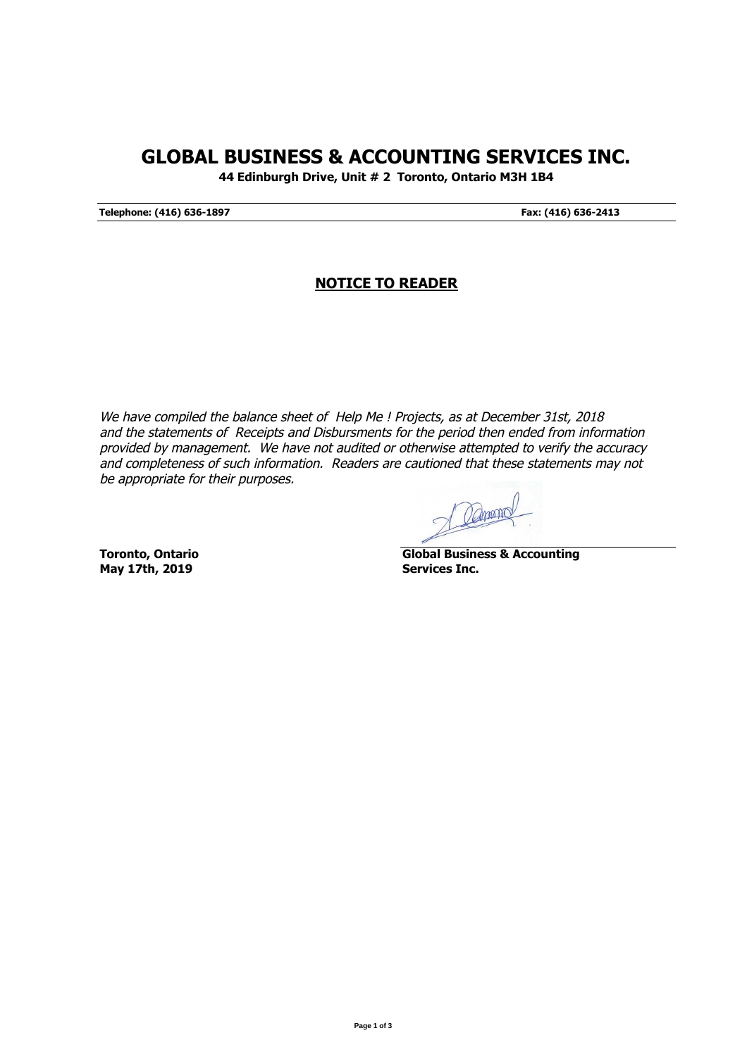## **GLOBAL BUSINESS & ACCOUNTING SERVICES INC.**

**44 Edinburgh Drive, Unit # 2 Toronto, Ontario M3H 1B4**

**Telephone: (416) 636-1897 Fax: (416) 636-2413**

## **NOTICE TO READER**

We have compiled the balance sheet of Help Me ! Projects, as at December 31st, 2018 and the statements of Receipts and Disbursments for the period then ended from information provided by management. We have not audited or otherwise attempted to verify the accuracy and completeness of such information. Readers are cautioned that these statements may not be appropriate for their purposes.

Damons

**May 17th, 2019 Services Inc.**

**Toronto, Ontario Global Business & Accounting**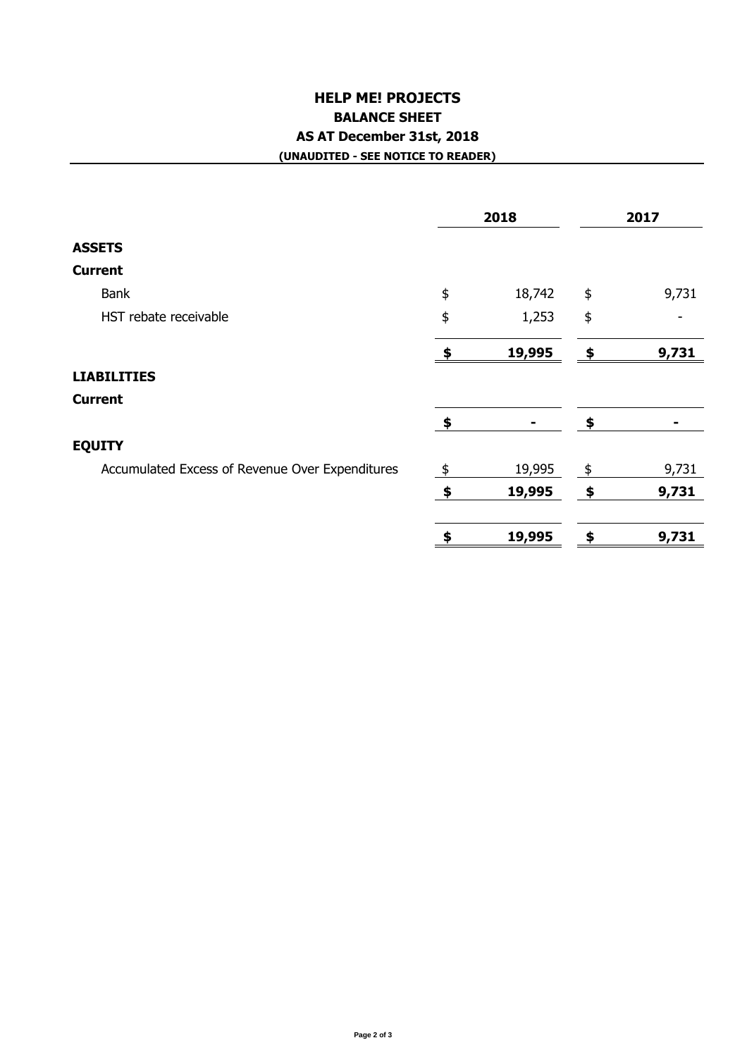## **HELP ME! PROJECTS BALANCE SHEET AS AT December 31st, 2018 (UNAUDITED - SEE NOTICE TO READER)**

|                                                 | 2018          |        | 2017 |       |
|-------------------------------------------------|---------------|--------|------|-------|
| <b>ASSETS</b>                                   |               |        |      |       |
| <b>Current</b>                                  |               |        |      |       |
| <b>Bank</b>                                     | \$            | 18,742 | \$   | 9,731 |
| HST rebate receivable                           | \$            | 1,253  | \$   |       |
|                                                 | \$            | 19,995 | \$   | 9,731 |
| <b>LIABILITIES</b>                              |               |        |      |       |
| <b>Current</b>                                  |               |        |      |       |
|                                                 | \$            | ۰      | \$   |       |
| <b>EQUITY</b>                                   |               |        |      |       |
| Accumulated Excess of Revenue Over Expenditures | $\frac{1}{2}$ | 19,995 | \$   | 9,731 |
|                                                 | $\clubsuit$   | 19,995 | \$   | 9,731 |
|                                                 | \$            | 19,995 | \$   | 9,731 |